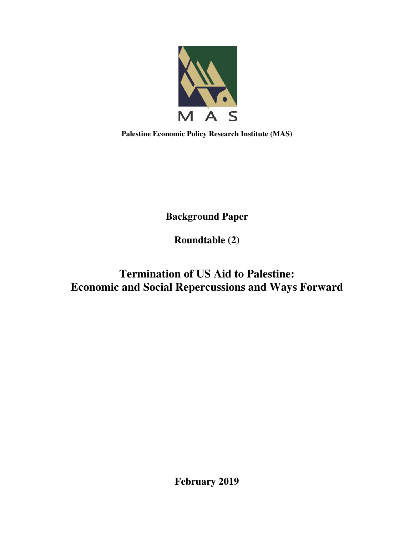

**Palestine Economic Policy Research Institute (MAS)** 

**Background Paper** 

**Roundtable (2)** 

# **Termination of US Aid to Palestine: Economic and Social Repercussions and Ways Forward**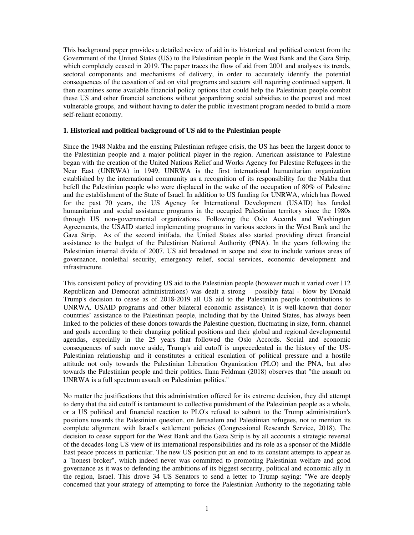This background paper provides a detailed review of aid in its historical and political context from the Government of the United States (US) to the Palestinian people in the West Bank and the Gaza Strip, which completely ceased in 2019. The paper traces the flow of aid from 2001 and analyses its trends, sectoral components and mechanisms of delivery, in order to accurately identify the potential consequences of the cessation of aid on vital programs and sectors still requiring continued support. It then examines some available financial policy options that could help the Palestinian people combat these US and other financial sanctions without jeopardizing social subsidies to the poorest and most vulnerable groups, and without having to defer the public investment program needed to build a more self-reliant economy.

#### **1. Historical and political background of US aid to the Palestinian people**

Since the 1948 Nakba and the ensuing Palestinian refugee crisis, the US has been the largest donor to the Palestinian people and a major political player in the region. American assistance to Palestine began with the creation of the United Nations Relief and Works Agency for Palestine Refugees in the Near East (UNRWA) in 1949. UNRWA is the first international humanitarian organization established by the international community as a recognition of its responsibility for the Nakba that befell the Palestinian people who were displaced in the wake of the occupation of 80% of Palestine and the establishment of the State of Israel. In addition to US funding for UNRWA, which has flowed for the past 70 years, the US Agency for International Development (USAID) has funded humanitarian and social assistance programs in the occupied Palestinian territory since the 1980s through US non-governmental organizations. Following the Oslo Accords and Washington Agreements, the USAID started implementing programs in various sectors in the West Bank and the Gaza Strip. As of the second intifada, the United States also started providing direct financial assistance to the budget of the Palestinian National Authority (PNA). In the years following the Palestinian internal divide of 2007, US aid broadened in scope and size to include various areas of governance, nonlethal security, emergency relief, social services, economic development and infrastructure.

This consistent policy of providing US aid to the Palestinian people (however much it varied over | 12 Republican and Democrat administrations) was dealt a strong – possibly fatal - blow by Donald Trump's decision to cease as of 2018-2019 all US aid to the Palestinian people (contributions to UNRWA*,* USAID programs and other bilateral economic assistance). It is well-known that donor countries' assistance to the Palestinian people, including that by the United States, has always been linked to the policies of these donors towards the Palestine question, fluctuating in size, form, channel and goals according to their changing political positions and their global and regional developmental agendas, especially in the 25 years that followed the Oslo Accords. Social and economic consequences of such move aside, Trump's aid cutoff is unprecedented in the history of the US-Palestinian relationship and it constitutes a critical escalation of political pressure and a hostile attitude not only towards the Palestinian Liberation Organization (PLO) and the PNA, but also towards the Palestinian people and their politics. Ilana Feldman (2018) observes that "the assault on UNRWA is a full spectrum assault on Palestinian politics."

No matter the justifications that this administration offered for its extreme decision, they did attempt to deny that the aid cutoff is tantamount to collective punishment of the Palestinian people as a whole, or a US political and financial reaction to PLO's refusal to submit to the Trump administration's positions towards the Palestinian question, on Jerusalem and Palestinian refugees, not to mention its complete alignment with Israel's settlement policies (Congressional Research Service, 2018). The decision to cease support for the West Bank and the Gaza Strip is by all accounts a strategic reversal of the decades-long US view of its international responsibilities and its role as a sponsor of the Middle East peace process in particular. The new US position put an end to its constant attempts to appear as a "honest broker", which indeed never was committed to promoting Palestinian welfare and good governance as it was to defending the ambitions of its biggest security, political and economic ally in the region, Israel. This drove 34 US Senators to send a letter to Trump saying: "We are deeply concerned that your strategy of attempting to force the Palestinian Authority to the negotiating table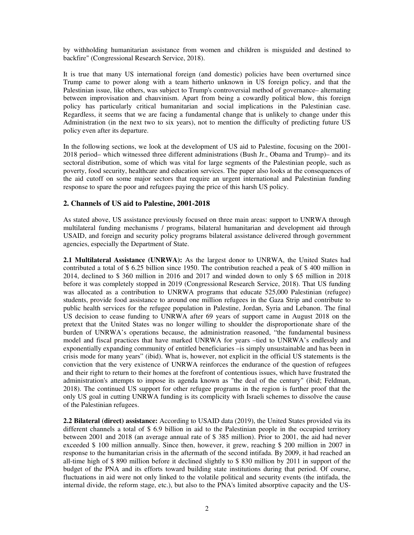by withholding humanitarian assistance from women and children is misguided and destined to backfire" (Congressional Research Service, 2018).

It is true that many US international foreign (and domestic) policies have been overturned since Trump came to power along with a team hitherto unknown in US foreign policy, and that the Palestinian issue, like others, was subject to Trump's controversial method of governance– alternating between improvisation and chauvinism. Apart from being a cowardly political blow, this foreign policy has particularly critical humanitarian and social implications in the Palestinian case. Regardless, it seems that we are facing a fundamental change that is unlikely to change under this Administration (in the next two to six years), not to mention the difficulty of predicting future US policy even after its departure.

In the following sections, we look at the development of US aid to Palestine, focusing on the 2001- 2018 period– which witnessed three different administrations (Bush Jr., Obama and Trump)– and its sectoral distribution, some of which was vital for large segments of the Palestinian people, such as poverty, food security, healthcare and education services. The paper also looks at the consequences of the aid cutoff on some major sectors that require an urgent international and Palestinian funding response to spare the poor and refugees paying the price of this harsh US policy.

#### **2. Channels of US aid to Palestine, 2001-2018**

As stated above, US assistance previously focused on three main areas: support to UNRWA through multilateral funding mechanisms / programs, bilateral humanitarian and development aid through USAID, and foreign and security policy programs bilateral assistance delivered through government agencies, especially the Department of State.

**2.1 Multilateral Assistance (UNRWA):** As the largest donor to UNRWA, the United States had contributed a total of \$ 6.25 billion since 1950. The contribution reached a peak of \$ 400 million in 2014, declined to \$ 360 million in 2016 and 2017 and winded down to only \$ 65 million in 2018 before it was completely stopped in 2019 (Congressional Research Service, 2018). That US funding was allocated as a contribution to UNRWA programs that educate 525,000 Palestinian (refugee) students, provide food assistance to around one million refugees in the Gaza Strip and contribute to public health services for the refugee population in Palestine, Jordan, Syria and Lebanon. The final US decision to cease funding to UNRWA after 69 years of support came in August 2018 on the pretext that the United States was no longer willing to shoulder the disproportionate share of the burden of UNRWA's operations because, the administration reasoned, "the fundamental business model and fiscal practices that have marked UNRWA for years –tied to UNRWA's endlessly and exponentially expanding community of entitled beneficiaries –is simply unsustainable and has been in crisis mode for many years" (ibid). What is, however, not explicit in the official US statements is the conviction that the very existence of UNRWA reinforces the endurance of the question of refugees and their right to return to their homes at the forefront of contentious issues, which have frustrated the administration's attempts to impose its agenda known as "the deal of the century" (ibid; Feldman, 2018). The continued US support for other refugee programs in the region is further proof that the only US goal in cutting UNRWA funding is its complicity with Israeli schemes to dissolve the cause of the Palestinian refugees.

**2.2 Bilateral (direct) assistance:** According to USAID data (2019), the United States provided via its different channels a total of \$ 6.9 billion in aid to the Palestinian people in the occupied territory between 2001 and 2018 (an average annual rate of \$ 385 million). Prior to 2001, the aid had never exceeded \$ 100 million annually. Since then, however, it grew, reaching \$ 200 million in 2007 in response to the humanitarian crisis in the aftermath of the second intifada. By 2009, it had reached an all-time high of \$ 890 million before it declined slightly to \$ 830 million by 2011 in support of the budget of the PNA and its efforts toward building state institutions during that period. Of course, fluctuations in aid were not only linked to the volatile political and security events (the intifada, the internal divide, the reform stage, etc.), but also to the PNA's limited absorptive capacity and the US-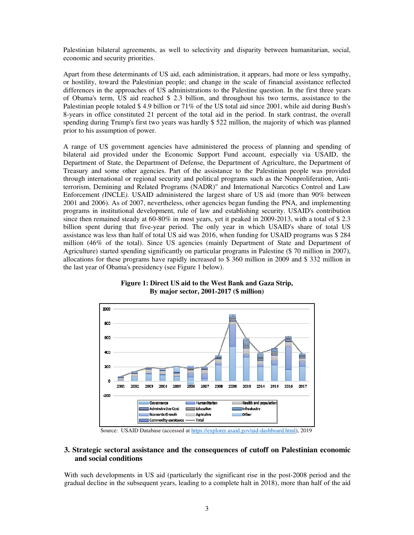Palestinian bilateral agreements, as well to selectivity and disparity between humanitarian, social, economic and security priorities.

Apart from these determinants of US aid, each administration, it appears, had more or less sympathy, or hostility, toward the Palestinian people; and change in the scale of financial assistance reflected differences in the approaches of US administrations to the Palestine question. In the first three years of Obama's term, US aid reached \$ 2.3 billion, and throughout his two terms, assistance to the Palestinian people totaled \$ 4.9 billion or 71% of the US total aid since 2001, while aid during Bush's 8-years in office constituted 21 percent of the total aid in the period. In stark contrast, the overall spending during Trump's first two years was hardly \$ 522 million, the majority of which was planned prior to his assumption of power.

A range of US government agencies have administered the process of planning and spending of bilateral aid provided under the Economic Support Fund account, especially via USAID, the Department of State, the Department of Defense, the Department of Agriculture, the Department of Treasury and some other agencies. Part of the assistance to the Palestinian people was provided through international or regional security and political programs such as the Nonproliferation, Antiterrorism, Demining and Related Programs (NADR)" and International Narcotics Control and Law Enforcement *(*INCLE*).* USAID administered the largest share of US aid (more than 90% between 2001 and 2006). As of 2007, nevertheless, other agencies began funding the PNA, and implementing programs in institutional development, rule of law and establishing security. USAID's contribution since then remained steady at 60-80% in most years, yet it peaked in 2009-2013, with a total of \$2.3 billion spent during that five-year period. The only year in which USAID's share of total US assistance was less than half of total US aid was 2016, when funding for USAID programs was \$ 284 million (46% of the total). Since US agencies (mainly Department of State and Department of Agriculture) started spending significantly on particular programs in Palestine (\$ 70 million in 2007), allocations for these programs have rapidly increased to \$ 360 million in 2009 and \$ 332 million in the last year of Obama's presidency (see Figure 1 below).



# **Figure 1: Direct US aid to the West Bank and Gaza Strip, By major sector, 2001-2017 (\$ million)**

Source: USAID Database (accessed at https://explorer.usaid.gov/aid-dashboard.html), 2019

### **3. Strategic sectoral assistance and the consequences of cutoff on Palestinian economic and social conditions**

With such developments in US aid (particularly the significant rise in the post-2008 period and the gradual decline in the subsequent years, leading to a complete halt in 2018), more than half of the aid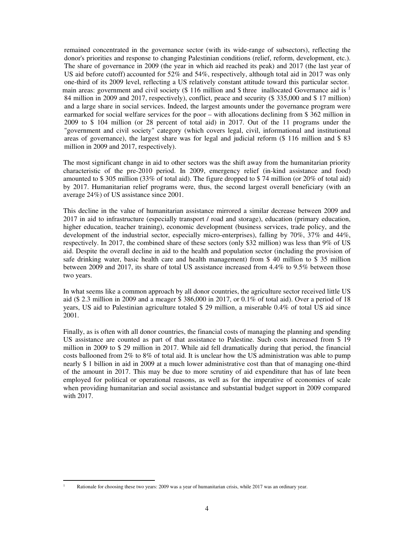remained concentrated in the governance sector (with its wide-range of subsectors), reflecting the donor's priorities and response to changing Palestinian conditions (relief, reform, development, etc.). The share of governance in 2009 (the year in which aid reached its peak) and 2017 (the last year of US aid before cutoff) accounted for 52% and 54%, respectively, although total aid in 2017 was only one-third of its 2009 level, reflecting a US relatively constant attitude toward this particular sector. main areas: government and civil society (\$ 116 million and \$ three inallocated Governance aid is  $<sup>1</sup>$ </sup> 84 million in 2009 and 2017, respectively), conflict, peace and security (\$ 335,000 and \$ 17 million) and a large share in social services. Indeed, the largest amounts under the governance program were earmarked for social welfare services for the poor – with allocations declining from \$ 362 million in 2009 to \$ 104 million (or 28 percent of total aid) in 2017. Out of the 11 programs under the "government and civil society" category (which covers legal, civil, informational and institutional areas of governance), the largest share was for legal and judicial reform (\$ 116 million and \$ 83 million in 2009 and 2017, respectively).

The most significant change in aid to other sectors was the shift away from the humanitarian priority characteristic of the pre-2010 period. In 2009, emergency relief (in-kind assistance and food) amounted to \$ 305 million (33% of total aid). The figure dropped to \$ 74 million (or 20% of total aid) by 2017. Humanitarian relief programs were, thus, the second largest overall beneficiary (with an average 24%) of US assistance since 2001.

This decline in the value of humanitarian assistance mirrored a similar decrease between 2009 and 2017 in aid to infrastructure (especially transport / road and storage), education (primary education, higher education, teacher training), economic development (business services, trade policy, and the development of the industrial sector, especially micro-enterprises), falling by 70%, 37% and 44%, respectively. In 2017, the combined share of these sectors (only \$32 million) was less than 9% of US aid. Despite the overall decline in aid to the health and population sector (including the provision of safe drinking water, basic health care and health management) from \$ 40 million to \$ 35 million between 2009 and 2017, its share of total US assistance increased from 4.4% to 9.5% between those two years.

In what seems like a common approach by all donor countries, the agriculture sector received little US aid (\$ 2.3 million in 2009 and a meager \$ 386,000 in 2017, or 0.1% of total aid). Over a period of 18 years, US aid to Palestinian agriculture totaled \$ 29 million, a miserable 0.4% of total US aid since 2001.

Finally, as is often with all donor countries, the financial costs of managing the planning and spending US assistance are counted as part of that assistance to Palestine. Such costs increased from \$ 19 million in 2009 to \$ 29 million in 2017. While aid fell dramatically during that period, the financial costs ballooned from 2% to 8% of total aid. It is unclear how the US administration was able to pump nearly \$ 1 billion in aid in 2009 at a much lower administrative cost than that of managing one-third of the amount in 2017. This may be due to more scrutiny of aid expenditure that has of late been employed for political or operational reasons, as well as for the imperative of economies of scale when providing humanitarian and social assistance and substantial budget support in 2009 compared with 2017.

 $\overline{a}$ 

<sup>1</sup> Rationale for choosing these two years: 2009 was a year of humanitarian crisis, while 2017 was an ordinary year.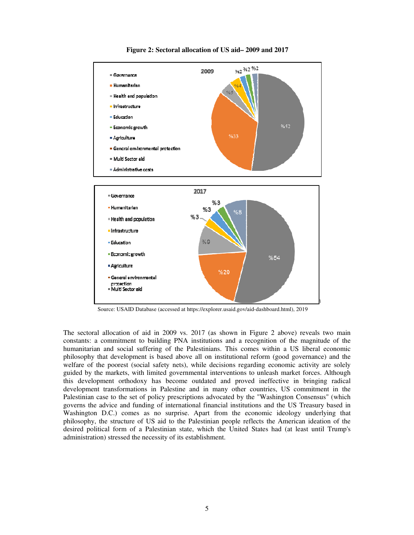

**Figure 2: Sectoral allocation of US aid– 2009 and 2017** 

Source: USAID Database (accessed at https://explorer.usaid.gov/aid-dashboard.html), 2019

The sectoral allocation of aid in 2009 vs. 2017 (as shown in Figure 2 above) reveals two main constants: a commitment to building PNA institutions and a recognition of the magnitude of the humanitarian and social suffering of the Palestinians. This comes within a US liberal economic philosophy that development is based above all on institutional reform (good governance) and the welfare of the poorest (social safety nets), while decisions regarding economic activity are solely guided by the markets, with limited governmental interventions to unleash market forces. Although this development orthodoxy has become outdated and proved ineffective in bringing radical development transformations in Palestine and in many other countries, US commitment in the Palestinian case to the set of policy prescriptions advocated by the "Washington Consensus" (which governs the advice and funding of international financial institutions and the US Treasury based in Washington D.C.) comes as no surprise. Apart from the economic ideology underlying that philosophy, the structure of US aid to the Palestinian people reflects the American ideation of the desired political form of a Palestinian state, which the United States had (at least until Trump's administration) stressed the necessity of its establishment.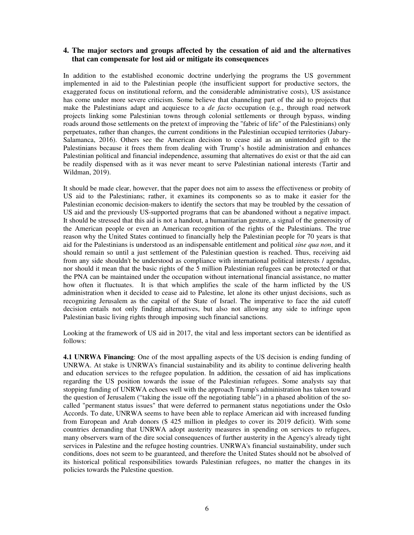# **4. The major sectors and groups affected by the cessation of aid and the alternatives that can compensate for lost aid or mitigate its consequences**

In addition to the established economic doctrine underlying the programs the US government implemented in aid to the Palestinian people (the insufficient support for productive sectors, the exaggerated focus on institutional reform, and the considerable administrative costs), US assistance has come under more severe criticism. Some believe that channeling part of the aid to projects that make the Palestinians adapt and acquiesce to a *de facto* occupation (e.g., through road network projects linking some Palestinian towns through colonial settlements or through bypass, winding roads around those settlements on the pretext of improving the "fabric of life" of the Palestinians) only perpetuates, rather than changes, the current conditions in the Palestinian occupied territories (Jabary-Salamanca, 2016). Others see the American decision to cease aid as an unintended gift to the Palestinians because it frees them from dealing with Trump's hostile administration and enhances Palestinian political and financial independence, assuming that alternatives do exist or that the aid can be readily dispensed with as it was never meant to serve Palestinian national interests (Tartir and Wildman, 2019).

It should be made clear, however, that the paper does not aim to assess the effectiveness or probity of US aid to the Palestinians; rather, it examines its components so as to make it easier for the Palestinian economic decision-makers to identify the sectors that may be troubled by the cessation of US aid and the previously US-supported programs that can be abandoned without a negative impact. It should be stressed that this aid is not a handout, a humanitarian gesture, a signal of the generosity of the American people or even an American recognition of the rights of the Palestinians. The true reason why the United States continued to financially help the Palestinian people for 70 years is that aid for the Palestinians is understood as an indispensable entitlement and political *sine qua non*, and it should remain so until a just settlement of the Palestinian question is reached. Thus, receiving aid from any side shouldn't be understood as compliance with international political interests / agendas, nor should it mean that the basic rights of the 5 million Palestinian refugees can be protected or that the PNA can be maintained under the occupation without international financial assistance, no matter how often it fluctuates. It is that which amplifies the scale of the harm inflicted by the US administration when it decided to cease aid to Palestine, let alone its other unjust decisions, such as recognizing Jerusalem as the capital of the State of Israel. The imperative to face the aid cutoff decision entails not only finding alternatives, but also not allowing any side to infringe upon Palestinian basic living rights through imposing such financial sanctions.

Looking at the framework of US aid in 2017, the vital and less important sectors can be identified as follows:

**4.1 UNRWA Financing**: One of the most appalling aspects of the US decision is ending funding of UNRWA. At stake is UNRWA's financial sustainability and its ability to continue delivering health and education services to the refugee population. In addition, the cessation of aid has implications regarding the US position towards the issue of the Palestinian refugees. Some analysts say that stopping funding of UNRWA echoes well with the approach Trump's administration has taken toward the question of Jerusalem ("taking the issue off the negotiating table") in a phased abolition of the socalled "permanent status issues" that were deferred to permanent status negotiations under the Oslo Accords. To date, UNRWA seems to have been able to replace American aid with increased funding from European and Arab donors (\$ 425 million in pledges to cover its 2019 deficit). With some countries demanding that UNRWA adopt austerity measures in spending on services to refugees, many observers warn of the dire social consequences of further austerity in the Agency's already tight services in Palestine and the refugee hosting countries. UNRWA's financial sustainability, under such conditions, does not seem to be guaranteed, and therefore the United States should not be absolved of its historical political responsibilities towards Palestinian refugees, no matter the changes in its policies towards the Palestine question.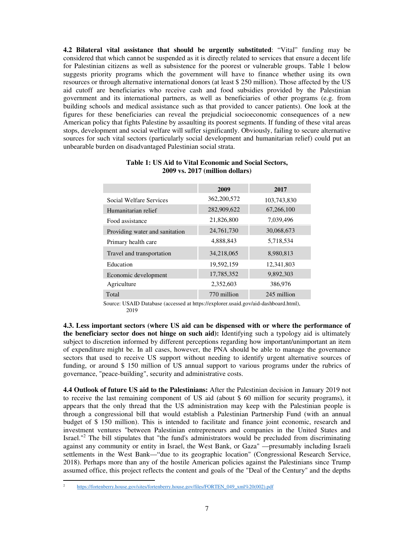**4.2 Bilateral vital assistance that should be urgently substituted**: "Vital" funding may be considered that which cannot be suspended as it is directly related to services that ensure a decent life for Palestinian citizens as well as subsistence for the poorest or vulnerable groups. Table 1 below suggests priority programs which the government will have to finance whether using its own resources or through alternative international donors (at least \$ 250 million). Those affected by the US aid cutoff are beneficiaries who receive cash and food subsidies provided by the Palestinian government and its international partners, as well as beneficiaries of other programs (e.g. from building schools and medical assistance such as that provided to cancer patients). One look at the figures for these beneficiaries can reveal the prejudicial socioeconomic consequences of a new American policy that fights Palestine by assaulting its poorest segments. If funding of these vital areas stops, development and social welfare will suffer significantly. Obviously, failing to secure alternative sources for such vital sectors (particularly social development and humanitarian relief) could put an unbearable burden on disadvantaged Palestinian social strata.

|                                | 2009        | 2017        |
|--------------------------------|-------------|-------------|
| Social Welfare Services        | 362,200,572 | 103,743,830 |
| Humanitarian relief            | 282,909,622 | 67,266,100  |
| Food assistance                | 21,826,800  | 7,039,496   |
| Providing water and sanitation | 24,761,730  | 30,068,673  |
| Primary health care            | 4,888,843   | 5,718,534   |
| Travel and transportation      | 34,218,065  | 8,980,813   |
| Education                      | 19,592,159  | 12,341,803  |
| Economic development           | 17,785,352  | 9,892,303   |
| Agriculture                    | 2,352,603   | 386,976     |
| Total                          | 770 million | 245 million |

#### **Table 1: US Aid to Vital Economic and Social Sectors, 2009 vs. 2017 (million dollars)**

Source: USAID Database (accessed at https://explorer.usaid.gov/aid-dashboard.html), 2019

**4.3. Less important sectors (where US aid can be dispensed with or where the performance of the beneficiary sector does not hinge on such aid):** Identifying such a typology aid is ultimately subject to discretion informed by different perceptions regarding how important/unimportant an item of expenditure might be. In all cases, however, the PNA should be able to manage the governance sectors that used to receive US support without needing to identify urgent alternative sources of funding, or around \$ 150 million of US annual support to various programs under the rubrics of governance, "peace-building", security and administrative costs.

**4.4 Outlook of future US aid to the Palestinians:** After the Palestinian decision in January 2019 not to receive the last remaining component of US aid (about \$ 60 million for security programs), it appears that the only thread that the US administration may keep with the Palestinian people is through a congressional bill that would establish a Palestinian Partnership Fund (with an annual budget of \$ 150 million). This is intended to facilitate and finance joint economic, research and investment ventures "between Palestinian entrepreneurs and companies in the United States and Israel."<sup>2</sup> The bill stipulates that "the fund's administrators would be precluded from discriminating against any community or entity in Israel, the West Bank, or Gaza" —presumably including Israeli settlements in the West Bank—"due to its geographic location" (Congressional Research Service, 2018). Perhaps more than any of the hostile American policies against the Palestinians since Trump assumed office, this project reflects the content and goals of the "Deal of the Century" and the depths

 $\overline{a}$ 

<sup>2</sup> https://fortenberry.house.gov/sites/fortenberry.house.gov/files/FORTEN\_049\_xml%20(002).pdf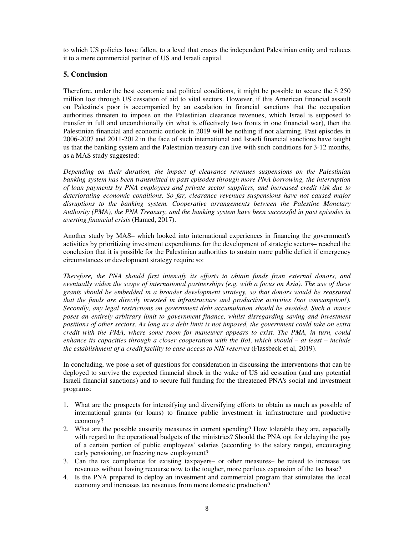to which US policies have fallen, to a level that erases the independent Palestinian entity and reduces it to a mere commercial partner of US and Israeli capital.

## **5. Conclusion**

Therefore, under the best economic and political conditions, it might be possible to secure the \$ 250 million lost through US cessation of aid to vital sectors. However, if this American financial assault on Palestine's poor is accompanied by an escalation in financial sanctions that the occupation authorities threaten to impose on the Palestinian clearance revenues, which Israel is supposed to transfer in full and unconditionally (in what is effectively two fronts in one financial war), then the Palestinian financial and economic outlook in 2019 will be nothing if not alarming. Past episodes in 2006-2007 and 2011-2012 in the face of such international and Israeli financial sanctions have taught us that the banking system and the Palestinian treasury can live with such conditions for 3-12 months, as a MAS study suggested:

*Depending on their duration, the impact of clearance revenues suspensions on the Palestinian banking system has been transmitted in past episodes through more PNA borrowing, the interruption of loan payments by PNA employees and private sector suppliers, and increased credit risk due to deteriorating economic conditions. So far, clearance revenues suspensions have not caused major disruptions to the banking system. Cooperative arrangements between the Palestine Monetary Authority (PMA), the PNA Treasury, and the banking system have been successful in past episodes in averting financial crisis* (Hamed, 2017).

Another study by MAS– which looked into international experiences in financing the government's activities by prioritizing investment expenditures for the development of strategic sectors– reached the conclusion that it is possible for the Palestinian authorities to sustain more public deficit if emergency circumstances or development strategy require so:

*Therefore, the PNA should first intensify its efforts to obtain funds from external donors, and eventually widen the scope of international partnerships (e.g. with a focus on Asia). The use of these grants should be embedded in a broader development strategy, so that donors would be reassured that the funds are directly invested in infrastructure and productive activities (not consumption!). Secondly, any legal restrictions on government debt accumulation should be avoided. Such a stance poses an entirely arbitrary limit to government finance, whilst disregarding saving and investment positions of other sectors. As long as a debt limit is not imposed, the government could take on extra credit with the PMA, where some room for maneuver appears to exist. The PMA, in turn, could enhance its capacities through a closer cooperation with the BoI, which should – at least – include the establishment of a credit facility to ease access to NIS reserves* (Flassbeck et al, 2019).

In concluding, we pose a set of questions for consideration in discussing the interventions that can be deployed to survive the expected financial shock in the wake of US aid cessation (and any potential Israeli financial sanctions) and to secure full funding for the threatened PNA's social and investment programs:

- 1. What are the prospects for intensifying and diversifying efforts to obtain as much as possible of international grants (or loans) to finance public investment in infrastructure and productive economy?
- 2. What are the possible austerity measures in current spending? How tolerable they are, especially with regard to the operational budgets of the ministries? Should the PNA opt for delaying the pay of a certain portion of public employees' salaries (according to the salary range), encouraging early pensioning, or freezing new employment?
- 3. Can the tax compliance for existing taxpayers– or other measures– be raised to increase tax revenues without having recourse now to the tougher, more perilous expansion of the tax base?
- 4. Is the PNA prepared to deploy an investment and commercial program that stimulates the local economy and increases tax revenues from more domestic production?